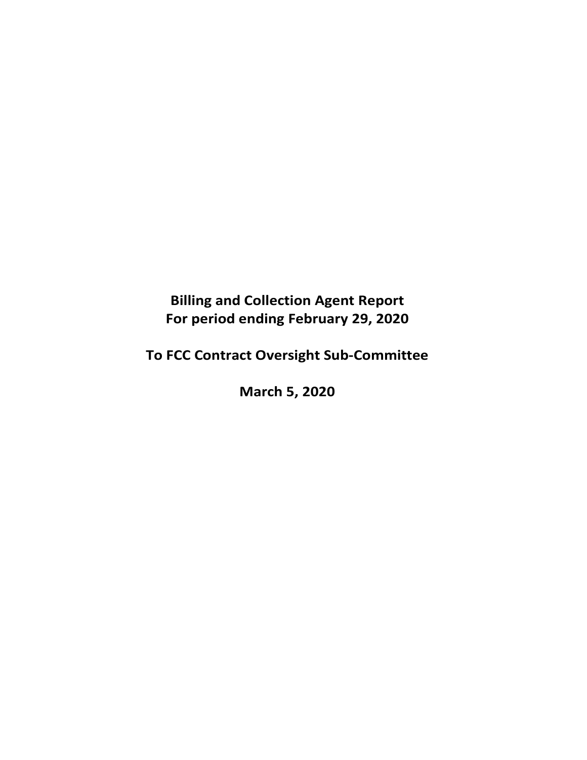**Billing and Collection Agent Report For period ending February 29, 2020** 

**To FCC Contract Oversight Sub‐Committee** 

**March 5, 2020**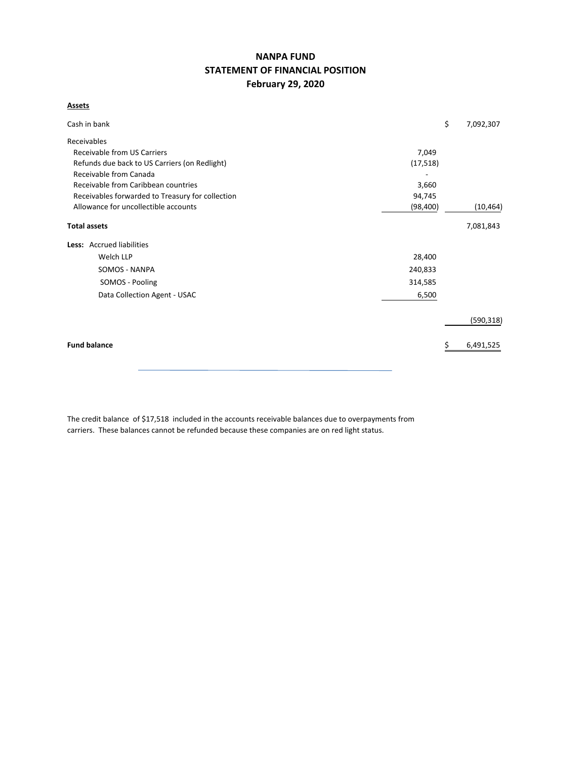# **NANPA FUND STATEMENT OF FINANCIAL POSITION February 29, 2020**

# **Assets**

| Cash in bank                                     |           | \$<br>7,092,307 |
|--------------------------------------------------|-----------|-----------------|
| Receivables                                      |           |                 |
| <b>Receivable from US Carriers</b>               | 7,049     |                 |
| Refunds due back to US Carriers (on Redlight)    | (17, 518) |                 |
| Receivable from Canada                           |           |                 |
| Receivable from Caribbean countries              | 3,660     |                 |
| Receivables forwarded to Treasury for collection | 94,745    |                 |
| Allowance for uncollectible accounts             | (98, 400) | (10, 464)       |
| <b>Total assets</b>                              |           | 7,081,843       |
| Less: Accrued liabilities                        |           |                 |
| Welch LLP                                        | 28,400    |                 |
| <b>SOMOS - NANPA</b>                             | 240,833   |                 |
| SOMOS - Pooling                                  | 314,585   |                 |
| Data Collection Agent - USAC                     | 6,500     |                 |
|                                                  |           | (590, 318)      |
| <b>Fund balance</b>                              |           | 6,491,525<br>S  |
|                                                  |           |                 |

The credit balance of \$17,518 included in the accounts receivable balances due to overpayments from carriers. These balances cannot be refunded because these companies are on red light status.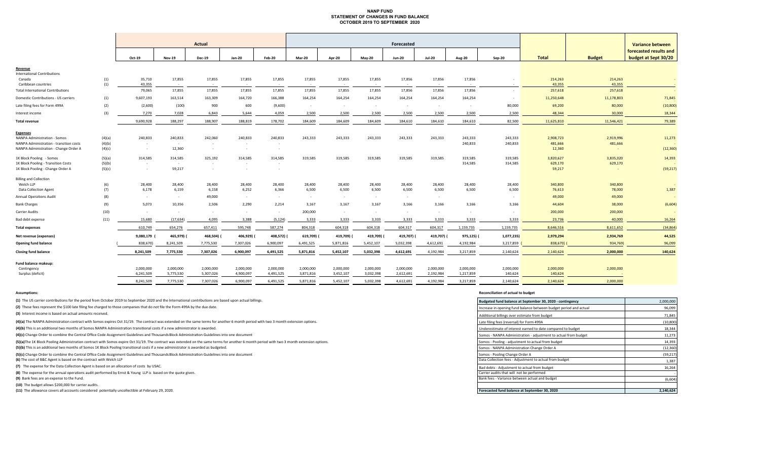# **NANP FUND STATEMENT OF CHANGES IN FUND BALANCE OCTOBER 2019 TO SEPTEMBER 2020**

|                                                                 |        | Actual           |                      |                  |                  |                  | Forecasted       |                  |                  | <b>Variance between</b> |                  |                  |            |                   |                   |                                                |
|-----------------------------------------------------------------|--------|------------------|----------------------|------------------|------------------|------------------|------------------|------------------|------------------|-------------------------|------------------|------------------|------------|-------------------|-------------------|------------------------------------------------|
|                                                                 |        | Oct-19           | <b>Nov-19</b>        | <b>Dec-19</b>    | Jan-20           | Feb-20           | Mar-20           | Apr-20           | May-20           | <b>Jun-20</b>           | <b>Jul-20</b>    | <b>Aug-20</b>    | Sep-20     | <b>Total</b>      | <b>Budget</b>     | forecasted results and<br>budget at Sept 30/20 |
| Revenue                                                         |        |                  |                      |                  |                  |                  |                  |                  |                  |                         |                  |                  |            |                   |                   |                                                |
| <b>International Contributions</b>                              |        |                  |                      |                  |                  |                  |                  |                  |                  |                         |                  |                  |            |                   |                   |                                                |
| Canada                                                          | (1)    | 35,710<br>43,355 | 17,855               | 17,855           | 17,855<br>$\sim$ | 17,855<br>$\sim$ | 17,855<br>$\sim$ | 17,855<br>$\sim$ | 17,855<br>$\sim$ | 17,856                  | 17,856<br>$\sim$ | 17,856<br>$\sim$ |            | 214,263           | 214,263<br>43,355 |                                                |
| Caribbean countries<br><b>Total International Contributions</b> | (1)    | 79,065           | $\sim$ $-$<br>17,855 | $\sim$<br>17,855 | 17,855           | 17,855           | 17,855           | 17,855           | 17,855           | $\sim$<br>17,856        | 17,856           | 17,856           | $\sim$     | 43,355<br>257,618 | 257,618           |                                                |
| Domestic Contributions - US carriers                            | (1)    | 9,607,193        | 163,514              | 163,309          | 164,720          | 166,388          | 164,254          | 164,254          | 164,254          | 164,254                 | 164,254          | 164,254          | $\sim$     | 11,250,648        | 11,178,803        | 71,845                                         |
|                                                                 |        |                  |                      |                  |                  |                  |                  |                  |                  |                         |                  |                  |            |                   |                   |                                                |
| Late filing fees for Form 499A                                  | (2)    | (2,600)          | (100)                | 900              | 600              | (9,600)          | $\sim$           | $\sim$           | $\sim$           | $\sim$                  | $\sim$           | $\sim$           | 80,000     | 69,200            | 80,000            | (10, 800)                                      |
| Interest income                                                 | (3)    | 7,270            | 7,028                | 6,843            | 5,644            | 4,059            | 2,500            | 2,500            | 2,500            | 2,500                   | 2,500            | 2,500            | 2,500      | 48,344            | 30,000            | 18,344                                         |
| <b>Total revenue</b>                                            |        | 9,690,928        | 188,297              | 188,907          | 188,819          | 178,702          | 184,609          | 184,609          | 184,609          | 184,610                 | 184,610          | 184,610          | 82,500     | 11,625,810        | 11,546,421        | 79,389                                         |
| <b>Expenses</b>                                                 |        |                  |                      |                  |                  |                  |                  |                  |                  |                         |                  |                  |            |                   |                   |                                                |
| <b>NANPA Administration - Somos</b>                             | (4)(a) | 240,833          | 240,833              | 242,060          | 240,833          | 240,833          | 243,333          | 243,333          | 243,333          | 243,333                 | 243,333          | 243,333          | 243,333    | 2,908,723         | 2,919,996         | 11,273                                         |
| NANPA Administration - transition costs                         | (4)(b) | $\sim$           | $\sim$               | $\sim$           | $\sim$           |                  |                  |                  |                  |                         |                  | 240,833          | 240,833    | 481,666           | 481,666           |                                                |
| NANPA Administration - Change Order A                           | (4)(c) | $\sim$           | 12,360               | $\sim$           | $\sim$           | $\sim$           |                  |                  |                  |                         |                  |                  |            | 12,360            |                   | (12, 360)                                      |
| 1K Block Pooling - Somos                                        | (5)(a) | 314,585          | 314,585              | 325,192          | 314,585          | 314,585          | 319,585          | 319,585          | 319,585          | 319,585                 | 319,585          | 319,585          | 319,585    | 3,820,627         | 3,835,020         | 14,393                                         |
| 1K Block Pooling - Transition Costs                             | (5)(b) | $\sim$           | $\sim$               | $\sim$           | $\sim$           |                  |                  |                  |                  |                         |                  | 314,585          | 314,585    | 629,170           | 629,170           |                                                |
| 1K Block Pooling - Change Order A                               | (5)(c) | $\sim$           | 59,217               | $\sim$           | $\sim$           |                  |                  |                  |                  |                         |                  |                  |            | 59,217            |                   | (59, 217)                                      |
| <b>Billing and Collection</b>                                   |        |                  |                      |                  |                  |                  |                  |                  |                  |                         |                  |                  |            |                   |                   |                                                |
| Welch LLP                                                       | (6)    | 28,400           | 28,400               | 28,400           | 28,400           | 28,400           | 28,400           | 28,400           | 28,400           | 28,400                  | 28,400           | 28,400           | 28,400     | 340,800           | 340,800           |                                                |
| <b>Data Collection Agent</b>                                    | (7)    | 6,178            | 6,159                | 6,158            | 6,252            | 6,366            | 6,500            | 6,500            | 6,500            | 6,500                   | 6,500            | 6,500            | 6,500      | 76,613            | 78,000            | 1,387                                          |
| <b>Annual Operations Audit</b>                                  | (8)    | $\sim$           | $\sim$               | 49,000           | $\sim$           | $\sim$           | $\sim$           | $\sim$           | $\sim$ $-$       | $\sim 10^{-1}$          | $\sim$           |                  | $\sim$     | 49,000            | 49,000            |                                                |
| <b>Bank Charges</b>                                             | (9)    | 5,073            | 10,356               | 2,506            | 2,290            | 2,214            | 3,167            | 3,167            | 3,167            | 3,166                   | 3,166            | 3,166            | 3,166      | 44,604            | 38,000            | (6,604)                                        |
| Carrier Audits                                                  | (10)   | $\sim$           | $\sim$               | $\sim$           | $\sim$           | $\sim$ $\sim$    | 200,000          | $\sim$           | $\sim$           | $\sim$                  | $\sim$           | $\sim$           | $\sim$     | 200,000           | 200,000           |                                                |
| Bad debt expense                                                | (11)   | 15,680           | (17, 634)            | 4,095            | 3,388            | (5, 124)         | 3,333            | 3,333            | 3,333            | 3,333                   | 3,333            | 3,333            | 3,333      | 23,736            | 40,000            | 16,264                                         |
| <b>Total expenses</b>                                           |        | 610,749          | 654,276              | 657,411          | 595,748          | 587,274          | 804,318          | 604,318          | 604,318          | 604,317                 | 604,317          | 1,159,735        | 1,159,735  | 8,646,516         | 8,611,652         | (34, 864)                                      |
| Net revenue (expenses)                                          |        | 9,080,179        | 465,979)             | 468,504) (       | 406,929)         | 408,572) (       | 619,709)         | 419,709)         | 419,709)         | 419,707) (              | 419,707)         | 975,125) (       | 1,077,235) | 2,979,294         | 2,934,769         | 44,525                                         |
| <b>Opening fund balance</b>                                     |        | 838,670)         | 8,241,509            | 7,775,530        | 7,307,026        | 6,900,097        | 6,491,525        | 5,871,816        | 5,452,107        | 5,032,398               | 4,612,691        | 4,192,984        | 3,217,859  | 838,670)          | 934,769)          | 96,099                                         |
| <b>Closing fund balance</b>                                     |        | 8,241,509        | 7,775,530            | 7,307,026        | 6,900,097        | 6,491,525        | 5,871,816        | 5,452,107        | 5,032,398        | 4,612,691               | 4,192,984        | 3,217,859        | 2,140,624  | 2,140,624         | 2,000,000         | 140,624                                        |
| Fund balance makeup:                                            |        |                  |                      |                  |                  |                  |                  |                  |                  |                         |                  |                  |            |                   |                   |                                                |
| Contingency                                                     |        | 2,000,000        | 2,000,000            | 2,000,000        | 2,000,000        | 2,000,000        | 2,000,000        | 2,000,000        | 2,000,000        | 2,000,000               | 2,000,000        | 2,000,000        | 2,000,000  | 2,000,000         | 2,000,000         |                                                |
| Surplus (deficit)                                               |        | 6,241,509        | 5,775,530            | 5,307,026        | 4,900,097        | 4,491,525        | 3,871,816        | 3,452,107        | 3,032,398        | 2,612,691               | 2,192,984        | 1,217,859        | 140,624    | 140,624           |                   |                                                |
|                                                                 |        | 8,241,509        | 7,775,530            | 7,307,026        | 6.900.097        | 6,491,525        | 5,871,816        | 5,452,107        | 5,032,398        | 4,612,691               | 4,192,984        | 3,217,859        | 2,140,624  | 2,140,624         | 2,000,000         |                                                |

**(1)** The US carrier contributions for the period from October 2019 to September 2020 and the International contributions are based upon actual billings.

#### **Assumptions: Reconciliation of actual to budget**

| (1) The US carrier contributions for the period from October 2019 to September 2020 and the International contributions are based upon actual billings.                                    | Budgeted fund balance at September 30, 2020 - contingency         | 2,000,000 |
|--------------------------------------------------------------------------------------------------------------------------------------------------------------------------------------------|-------------------------------------------------------------------|-----------|
| (2) These fees represent the \$100 late filing fee charged to those companies that do not file the Form 499A by the due date.                                                              | Increase in opening fund balance between budget period and actual | 96,099    |
| (3) Interest income is based on actual amounts received.                                                                                                                                   | Additional billings over estimate from budget                     | 71,845    |
| (4)(a) The NANPA Administration contract with Somos expires Oct 31/19. The contract was extended on the same terms for another 6 month period with two 3 month extension options.          | Late filing fees (reversal) for Form 499A                         | (10, 800) |
| (4)(b) This is an additional two months of Somos NANPA Administration transitional costs if a new administrator is awarded.                                                                | Underestimate of interest earned to date compared to budget       | 18,344    |
| (4)(c) Change Order to combine the Central Office Code Assignment Guidelines and Thousands Block Administration Guidelines into one document                                               | Somos - NANPA Administration - adjustment to actual from budget   | 11,273    |
| (5)(a)The 1K Block Pooling Administration contract with Somos expire Oct 31/19. The contract was extended on the same terms for another 6 month period with two 3 month extension options. | Somos - Pooling - adjustment to actual from budget                | 14,393    |
| (5)(b) This is an additional two months of Somos 1K Block Pooling transitional costs if a new administrator is awarded as budgeted.                                                        | Somos - NANPA Administration Change Order A                       | (12, 360) |
| (5)(c) Change Order to combine the Central Office Code Assignment Guidelines and Thousands Block Administration Guidelines into one document                                               | Somos - Pooling Change Order A                                    | (59, 217) |
| (6) The cost of B&C Agent is based on the contract with Welch LLP                                                                                                                          | Data Collection fees - Adjustment to actual from budget           | 1,387     |
| (7) The expense for the Data Collection Agent is based on an allocation of costs by USAC.                                                                                                  | Bad debts - Adjustment to actual from budget                      | 16,264    |
| (8) The expense for the annual operations audit performed by Ernst & Young LLP is based on the quote given.                                                                                | Carrier audits that will not be performed                         |           |
| (9) Bank fees are an expense to the Fund.                                                                                                                                                  | Bank fees - Variance between actual and budget                    | (6,604)   |
| (10) The budget allows \$200,000 for carrier audits.                                                                                                                                       |                                                                   |           |
| (11) The allowance covers all accounts considered potentially uncollectible at February 29, 2020.                                                                                          | Forecasted fund balance at September 30, 2020                     | 2.140.624 |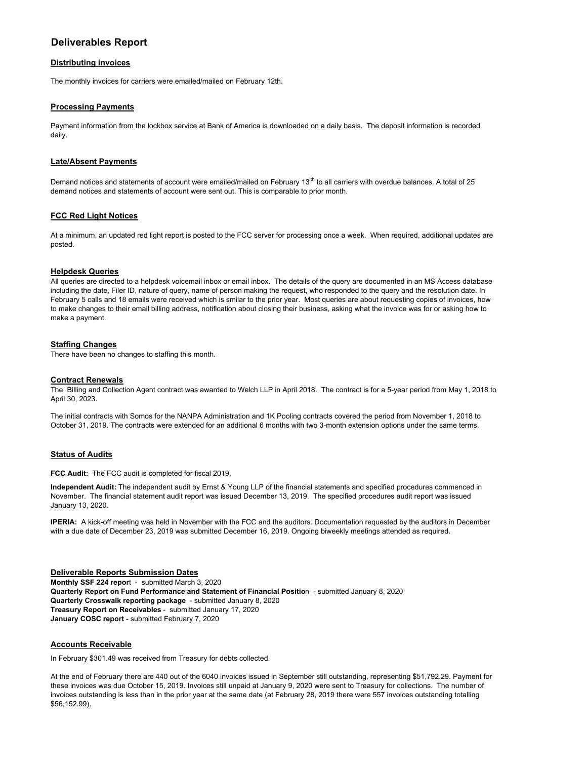# **Deliverables Report**

#### **Distributing invoices**

The monthly invoices for carriers were emailed/mailed on February 12th.

## **Processing Payments**

Payment information from the lockbox service at Bank of America is downloaded on a daily basis. The deposit information is recorded daily.

## **Late/Absent Payments**

Demand notices and statements of account were emailed/mailed on February 13<sup>th</sup> to all carriers with overdue balances. A total of 25 demand notices and statements of account were sent out. This is comparable to prior month.

# **FCC Red Light Notices**

At a minimum, an updated red light report is posted to the FCC server for processing once a week. When required, additional updates are posted.

## **Helpdesk Queries**

All queries are directed to a helpdesk voicemail inbox or email inbox. The details of the query are documented in an MS Access database including the date, Filer ID, nature of query, name of person making the request, who responded to the query and the resolution date. In February 5 calls and 18 emails were received which is smilar to the prior year. Most queries are about requesting copies of invoices, how to make changes to their email billing address, notification about closing their business, asking what the invoice was for or asking how to make a payment.

#### **Staffing Changes**

There have been no changes to staffing this month.

# **Contract Renewals**

The Billing and Collection Agent contract was awarded to Welch LLP in April 2018. The contract is for a 5-year period from May 1, 2018 to April 30, 2023.

The initial contracts with Somos for the NANPA Administration and 1K Pooling contracts covered the period from November 1, 2018 to October 31, 2019. The contracts were extended for an additional 6 months with two 3-month extension options under the same terms.

# **Status of Audits**

**FCC Audit:** The FCC audit is completed for fiscal 2019.

**Independent Audit:** The independent audit by Ernst & Young LLP of the financial statements and specified procedures commenced in November. The financial statement audit report was issued December 13, 2019. The specified procedures audit report was issued January 13, 2020.

**IPERIA:** A kick-off meeting was held in November with the FCC and the auditors. Documentation requested by the auditors in December with a due date of December 23, 2019 was submitted December 16, 2019. Ongoing biweekly meetings attended as required.

## **Deliverable Reports Submission Dates**

**Monthly SSF 224 repor**t - submitted March 3, 2020 **Quarterly Report on Fund Performance and Statement of Financial Positio**n - submitted January 8, 2020 **Quarterly Crosswalk reporting package** - submitted January 8, 2020 **Treasury Report on Receivables** - submitted January 17, 2020 **January COSC report** - submitted February 7, 2020

#### **Accounts Receivable**

In February \$301.49 was received from Treasury for debts collected.

At the end of February there are 440 out of the 6040 invoices issued in September still outstanding, representing \$51,792.29. Payment for these invoices was due October 15, 2019. Invoices still unpaid at January 9, 2020 were sent to Treasury for collections. The number of invoices outstanding is less than in the prior year at the same date (at February 28, 2019 there were 557 invoices outstanding totalling \$56,152.99).